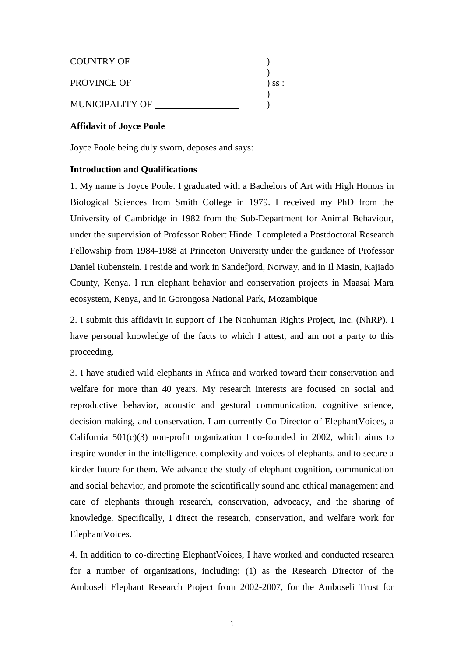| <b>COUNTRY OF</b>      |          |
|------------------------|----------|
| <b>PROVINCE OF</b>     | $)$ SS : |
| <b>MUNICIPALITY OF</b> |          |

# **Affidavit of Joyce Poole**

Joyce Poole being duly sworn, deposes and says:

## **Introduction and Qualifications**

1. My name is Joyce Poole. I graduated with a Bachelors of Art with High Honors in Biological Sciences from Smith College in 1979. I received my PhD from the University of Cambridge in 1982 from the Sub-Department for Animal Behaviour, under the supervision of Professor Robert Hinde. I completed a Postdoctoral Research Fellowship from 1984-1988 at Princeton University under the guidance of Professor Daniel Rubenstein. I reside and work in Sandefjord, Norway, and in Il Masin, Kajiado County, Kenya. I run elephant behavior and conservation projects in Maasai Mara ecosystem, Kenya, and in Gorongosa National Park, Mozambique

2. I submit this affidavit in support of The Nonhuman Rights Project, Inc. (NhRP). I have personal knowledge of the facts to which I attest, and am not a party to this proceeding.

3. I have studied wild elephants in Africa and worked toward their conservation and welfare for more than 40 years. My research interests are focused on social and reproductive behavior, acoustic and gestural communication, cognitive science, decision-making, and conservation. I am currently Co-Director of ElephantVoices, a California  $501(c)(3)$  non-profit organization I co-founded in 2002, which aims to inspire wonder in the intelligence, complexity and voices of elephants, and to secure a kinder future for them. We advance the study of elephant cognition, communication and social behavior, and promote the scientifically sound and ethical management and care of elephants through research, conservation, advocacy, and the sharing of knowledge. Specifically, I direct the research, conservation, and welfare work for ElephantVoices.

4. In addition to co-directing ElephantVoices, I have worked and conducted research for a number of organizations, including: (1) as the Research Director of the Amboseli Elephant Research Project from 2002-2007, for the Amboseli Trust for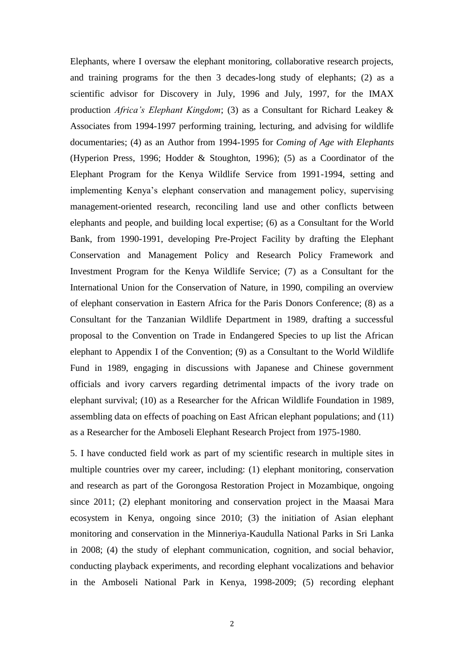Elephants, where I oversaw the elephant monitoring, collaborative research projects, and training programs for the then 3 decades-long study of elephants; (2) as a scientific advisor for Discovery in July, 1996 and July, 1997, for the IMAX production *Africa's Elephant Kingdom*; (3) as a Consultant for Richard Leakey & Associates from 1994-1997 performing training, lecturing, and advising for wildlife documentaries; (4) as an Author from 1994-1995 for *Coming of Age with Elephants* (Hyperion Press, 1996; Hodder & Stoughton, 1996); (5) as a Coordinator of the Elephant Program for the Kenya Wildlife Service from 1991-1994, setting and implementing Kenya's elephant conservation and management policy, supervising management-oriented research, reconciling land use and other conflicts between elephants and people, and building local expertise; (6) as a Consultant for the World Bank, from 1990-1991, developing Pre-Project Facility by drafting the Elephant Conservation and Management Policy and Research Policy Framework and Investment Program for the Kenya Wildlife Service; (7) as a Consultant for the International Union for the Conservation of Nature, in 1990, compiling an overview of elephant conservation in Eastern Africa for the Paris Donors Conference; (8) as a Consultant for the Tanzanian Wildlife Department in 1989, drafting a successful proposal to the Convention on Trade in Endangered Species to up list the African elephant to Appendix I of the Convention; (9) as a Consultant to the World Wildlife Fund in 1989, engaging in discussions with Japanese and Chinese government officials and ivory carvers regarding detrimental impacts of the ivory trade on elephant survival; (10) as a Researcher for the African Wildlife Foundation in 1989, assembling data on effects of poaching on East African elephant populations; and (11) as a Researcher for the Amboseli Elephant Research Project from 1975-1980.

5. I have conducted field work as part of my scientific research in multiple sites in multiple countries over my career, including: (1) elephant monitoring, conservation and research as part of the Gorongosa Restoration Project in Mozambique, ongoing since 2011; (2) elephant monitoring and conservation project in the Maasai Mara ecosystem in Kenya, ongoing since 2010; (3) the initiation of Asian elephant monitoring and conservation in the Minneriya-Kaudulla National Parks in Sri Lanka in 2008; (4) the study of elephant communication, cognition, and social behavior, conducting playback experiments, and recording elephant vocalizations and behavior in the Amboseli National Park in Kenya, 1998-2009; (5) recording elephant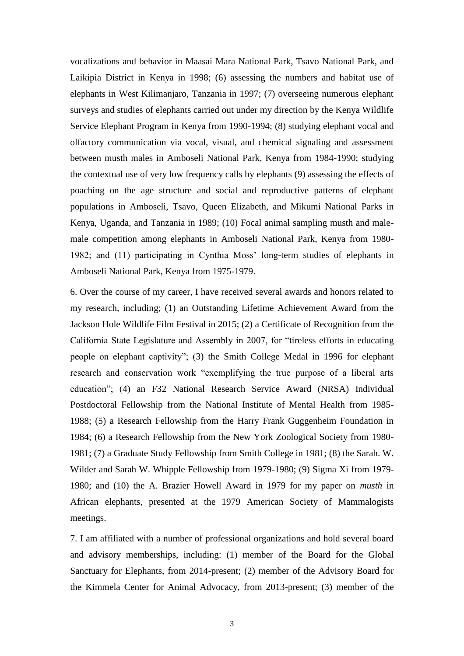vocalizations and behavior in Maasai Mara National Park, Tsavo National Park, and Laikipia District in Kenya in 1998; (6) assessing the numbers and habitat use of elephants in West Kilimanjaro, Tanzania in 1997; (7) overseeing numerous elephant surveys and studies of elephants carried out under my direction by the Kenya Wildlife Service Elephant Program in Kenya from 1990-1994; (8) studying elephant vocal and olfactory communication via vocal, visual, and chemical signaling and assessment between musth males in Amboseli National Park, Kenya from 1984-1990; studying the contextual use of very low frequency calls by elephants (9) assessing the effects of poaching on the age structure and social and reproductive patterns of elephant populations in Amboseli, Tsavo, Queen Elizabeth, and Mikumi National Parks in Kenya, Uganda, and Tanzania in 1989; (10) Focal animal sampling musth and malemale competition among elephants in Amboseli National Park, Kenya from 1980- 1982; and (11) participating in Cynthia Moss' long-term studies of elephants in Amboseli National Park, Kenya from 1975-1979.

6. Over the course of my career, I have received several awards and honors related to my research, including; (1) an Outstanding Lifetime Achievement Award from the Jackson Hole Wildlife Film Festival in 2015; (2) a Certificate of Recognition from the California State Legislature and Assembly in 2007, for "tireless efforts in educating people on elephant captivity"; (3) the Smith College Medal in 1996 for elephant research and conservation work "exemplifying the true purpose of a liberal arts education"; (4) an F32 National Research Service Award (NRSA) Individual Postdoctoral Fellowship from the National Institute of Mental Health from 1985- 1988; (5) a Research Fellowship from the Harry Frank Guggenheim Foundation in 1984; (6) a Research Fellowship from the New York Zoological Society from 1980- 1981; (7) a Graduate Study Fellowship from Smith College in 1981; (8) the Sarah. W. Wilder and Sarah W. Whipple Fellowship from 1979-1980; (9) Sigma Xi from 1979- 1980; and (10) the A. Brazier Howell Award in 1979 for my paper on *musth* in African elephants, presented at the 1979 American Society of Mammalogists meetings.

7. I am affiliated with a number of professional organizations and hold several board and advisory memberships, including: (1) member of the Board for the Global Sanctuary for Elephants, from 2014-present; (2) member of the Advisory Board for the Kimmela Center for Animal Advocacy, from 2013-present; (3) member of the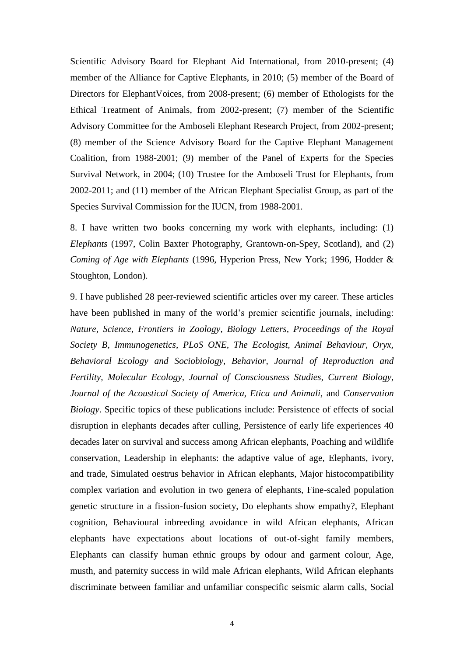Scientific Advisory Board for Elephant Aid International, from 2010-present; (4) member of the Alliance for Captive Elephants, in 2010; (5) member of the Board of Directors for ElephantVoices, from 2008-present; (6) member of Ethologists for the Ethical Treatment of Animals, from 2002-present; (7) member of the Scientific Advisory Committee for the Amboseli Elephant Research Project, from 2002-present; (8) member of the Science Advisory Board for the Captive Elephant Management Coalition, from 1988-2001; (9) member of the Panel of Experts for the Species Survival Network, in 2004; (10) Trustee for the Amboseli Trust for Elephants, from 2002-2011; and (11) member of the African Elephant Specialist Group, as part of the Species Survival Commission for the IUCN, from 1988-2001.

8. I have written two books concerning my work with elephants, including: (1) *Elephants* (1997, Colin Baxter Photography, Grantown-on-Spey, Scotland), and (2) *Coming of Age with Elephants* (1996, Hyperion Press, New York; 1996, Hodder & Stoughton, London).

9. I have published 28 peer-reviewed scientific articles over my career. These articles have been published in many of the world's premier scientific journals, including: *Nature, Science, Frontiers in Zoology*, *Biology Letters, Proceedings of the Royal Society B, Immunogenetics, PLoS ONE, The Ecologist, Animal Behaviour, Oryx, Behavioral Ecology and Sociobiology, Behavior, Journal of Reproduction and Fertility, Molecular Ecology, Journal of Consciousness Studies, Current Biology, Journal of the Acoustical Society of America, Etica and Animali,* and *Conservation Biology*. Specific topics of these publications include: Persistence of effects of social disruption in elephants decades after culling, Persistence of early life experiences 40 decades later on survival and success among African elephants, Poaching and wildlife conservation, Leadership in elephants: the adaptive value of age, Elephants, ivory, and trade, Simulated oestrus behavior in African elephants, Major histocompatibility complex variation and evolution in two genera of elephants, Fine-scaled population genetic structure in a fission-fusion society, Do elephants show empathy?, Elephant cognition, Behavioural inbreeding avoidance in wild African elephants, African elephants have expectations about locations of out-of-sight family members, Elephants can classify human ethnic groups by odour and garment colour, Age, musth, and paternity success in wild male African elephants, Wild African elephants discriminate between familiar and unfamiliar conspecific seismic alarm calls, Social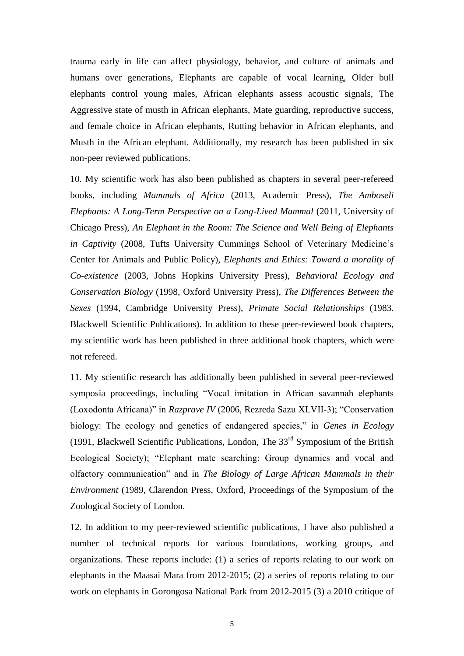trauma early in life can affect physiology, behavior, and culture of animals and humans over generations, Elephants are capable of vocal learning, Older bull elephants control young males, African elephants assess acoustic signals, The Aggressive state of musth in African elephants, Mate guarding, reproductive success, and female choice in African elephants, Rutting behavior in African elephants, and Musth in the African elephant. Additionally, my research has been published in six non-peer reviewed publications.

10. My scientific work has also been published as chapters in several peer-refereed books, including *Mammals of Africa* (2013, Academic Press), *The Amboseli Elephants: A Long-Term Perspective on a Long-Lived Mammal* (2011, University of Chicago Press), *An Elephant in the Room: The Science and Well Being of Elephants in Captivity* (2008, Tufts University Cummings School of Veterinary Medicine's Center for Animals and Public Policy), *Elephants and Ethics: Toward a morality of Co-existence* (2003, Johns Hopkins University Press), *Behavioral Ecology and Conservation Biology* (1998, Oxford University Press), *The Differences Between the Sexes* (1994, Cambridge University Press), *Primate Social Relationships* (1983. Blackwell Scientific Publications). In addition to these peer-reviewed book chapters, my scientific work has been published in three additional book chapters, which were not refereed.

11. My scientific research has additionally been published in several peer-reviewed symposia proceedings, including "Vocal imitation in African savannah elephants (Loxodonta Africana)" in *Razprave IV* (2006, Rezreda Sazu XLVII-3); "Conservation biology: The ecology and genetics of endangered species," in *Genes in Ecology*  (1991, Blackwell Scientific Publications, London, The  $33<sup>rd</sup>$  Symposium of the British Ecological Society); "Elephant mate searching: Group dynamics and vocal and olfactory communication" and in *The Biology of Large African Mammals in their Environment* (1989, Clarendon Press, Oxford, Proceedings of the Symposium of the Zoological Society of London.

12. In addition to my peer-reviewed scientific publications, I have also published a number of technical reports for various foundations, working groups, and organizations. These reports include: (1) a series of reports relating to our work on elephants in the Maasai Mara from 2012-2015; (2) a series of reports relating to our work on elephants in Gorongosa National Park from 2012-2015 (3) a 2010 critique of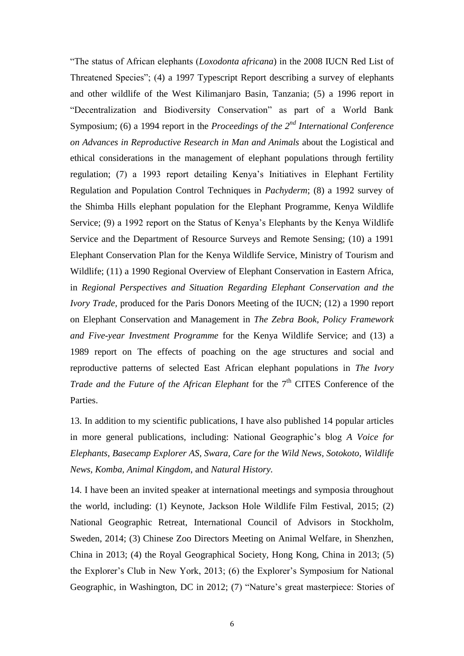"The status of African elephants (*Loxodonta africana*) in the 2008 IUCN Red List of Threatened Species"; (4) a 1997 Typescript Report describing a survey of elephants and other wildlife of the West Kilimanjaro Basin, Tanzania; (5) a 1996 report in "Decentralization and Biodiversity Conservation" as part of a World Bank Symposium; (6) a 1994 report in the *Proceedings of the 2nd International Conference on Advances in Reproductive Research in Man and Animals* about the Logistical and ethical considerations in the management of elephant populations through fertility regulation; (7) a 1993 report detailing Kenya's Initiatives in Elephant Fertility Regulation and Population Control Techniques in *Pachyderm*; (8) a 1992 survey of the Shimba Hills elephant population for the Elephant Programme, Kenya Wildlife Service; (9) a 1992 report on the Status of Kenya's Elephants by the Kenya Wildlife Service and the Department of Resource Surveys and Remote Sensing; (10) a 1991 Elephant Conservation Plan for the Kenya Wildlife Service, Ministry of Tourism and Wildlife; (11) a 1990 Regional Overview of Elephant Conservation in Eastern Africa, in *Regional Perspectives and Situation Regarding Elephant Conservation and the Ivory Trade,* produced for the Paris Donors Meeting of the IUCN; (12) a 1990 report on Elephant Conservation and Management in *The Zebra Book, Policy Framework and Five-year Investment Programme* for the Kenya Wildlife Service; and (13) a 1989 report on The effects of poaching on the age structures and social and reproductive patterns of selected East African elephant populations in *The Ivory Trade and the Future of the African Elephant* for the 7<sup>th</sup> CITES Conference of the Parties.

13. In addition to my scientific publications, I have also published 14 popular articles in more general publications, including: National Geographic's blog *A Voice for Elephants*, *Basecamp Explorer AS, Swara, Care for the Wild News, Sotokoto, Wildlife News, Komba, Animal Kingdom,* and *Natural History.* 

14. I have been an invited speaker at international meetings and symposia throughout the world, including: (1) Keynote, Jackson Hole Wildlife Film Festival, 2015; (2) National Geographic Retreat, International Council of Advisors in Stockholm, Sweden, 2014; (3) Chinese Zoo Directors Meeting on Animal Welfare, in Shenzhen, China in 2013; (4) the Royal Geographical Society, Hong Kong, China in 2013; (5) the Explorer's Club in New York, 2013; (6) the Explorer's Symposium for National Geographic, in Washington, DC in 2012; (7) "Nature's great masterpiece: Stories of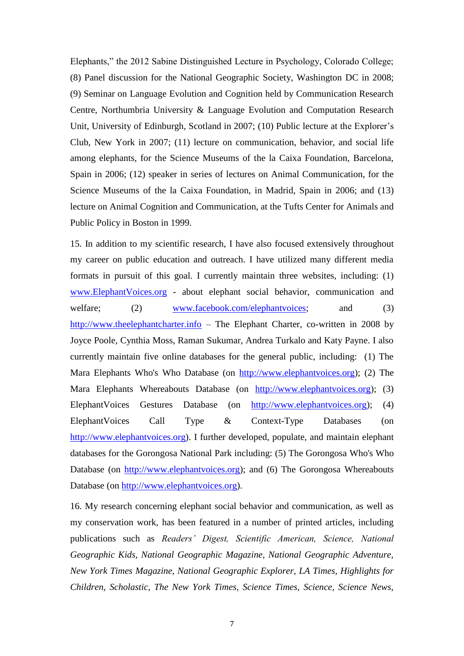Elephants," the 2012 Sabine Distinguished Lecture in Psychology, Colorado College; (8) Panel discussion for the National Geographic Society, Washington DC in 2008; (9) Seminar on Language Evolution and Cognition held by Communication Research Centre, Northumbria University & Language Evolution and Computation Research Unit, University of Edinburgh, Scotland in 2007; (10) Public lecture at the Explorer's Club, New York in 2007; (11) lecture on communication, behavior, and social life among elephants, for the Science Museums of the la Caixa Foundation, Barcelona, Spain in 2006; (12) speaker in series of lectures on Animal Communication, for the Science Museums of the la Caixa Foundation, in Madrid, Spain in 2006; and (13) lecture on Animal Cognition and Communication, at the Tufts Center for Animals and Public Policy in Boston in 1999.

15. In addition to my scientific research, I have also focused extensively throughout my career on public education and outreach. I have utilized many different media formats in pursuit of this goal. I currently maintain three websites, including: (1) [www.ElephantVoices.org](http://www.elephantvoices.org/) - about elephant social behavior, communication and welfare; (2) [www.facebook.com/elephantvoices;](http://www.facebook.com/elephantvoices) and (3) [http://www.theelephantcharter.info](http://www.theelephantcharter.info/) – The Elephant Charter, co-written in 2008 by Joyce Poole, Cynthia Moss, Raman Sukumar, Andrea Turkalo and Katy Payne. I also currently maintain five online databases for the general public, including: (1) The Mara Elephants Who's Who Database (on [http://www.elephantvoices.org\)](http://www.elephantvoices.org/); (2) The Mara Elephants Whereabouts Database (on [http://www.elephantvoices.org\)](http://www.elephantvoices.org/); (3) ElephantVoices Gestures Database (on [http://www.elephantvoices.org\)](http://www.elephantvoices.org/); (4) ElephantVoices Call Type & Context-Type Databases (on [http://www.elephantvoices.org\)](http://www.elephantvoices.org/). I further developed, populate, and maintain elephant databases for the Gorongosa National Park including: (5) The Gorongosa Who's Who Database (on [http://www.elephantvoices.org\)](http://www.elephantvoices.org/); and (6) The Gorongosa Whereabouts Database (on [http://www.elephantvoices.org\)](http://www.elephantvoices.org/).

16. My research concerning elephant social behavior and communication, as well as my conservation work, has been featured in a number of printed articles, including publications such as *Readers' Digest, Scientific American, Science, National Geographic Kids, National Geographic Magazine, National Geographic Adventure, New York Times Magazine, National Geographic Explorer, LA Times, Highlights for Children, Scholastic, The New York Times, Science Times, Science, Science News,*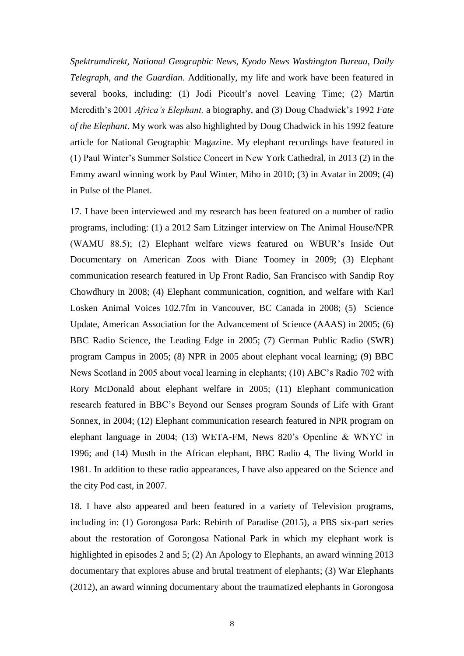*Spektrumdirekt, National Geographic News, Kyodo News Washington Bureau, Daily Telegraph, and the Guardian*. Additionally, my life and work have been featured in several books, including: (1) Jodi Picoult's novel Leaving Time; (2) Martin Meredith's 2001 *Africa's Elephant,* a biography, and (3) Doug Chadwick's 1992 *Fate of the Elephant*. My work was also highlighted by Doug Chadwick in his 1992 feature article for National Geographic Magazine. My elephant recordings have featured in (1) Paul Winter's Summer Solstice Concert in New York Cathedral, in 2013 (2) in the Emmy award winning work by Paul Winter, Miho in 2010; (3) in Avatar in 2009; (4) in Pulse of the Planet.

17. I have been interviewed and my research has been featured on a number of radio programs, including: (1) a 2012 Sam Litzinger interview on The Animal House/NPR (WAMU 88.5); (2) Elephant welfare views featured on WBUR's Inside Out Documentary on American Zoos with Diane Toomey in 2009; (3) Elephant communication research featured in Up Front Radio, San Francisco with Sandip Roy Chowdhury in 2008; (4) Elephant communication, cognition, and welfare with Karl Losken Animal Voices 102.7fm in Vancouver, BC Canada in 2008; (5) Science Update, American Association for the Advancement of Science (AAAS) in 2005; (6) BBC Radio Science, the Leading Edge in 2005; (7) German Public Radio (SWR) program Campus in 2005; (8) NPR in 2005 about elephant vocal learning; (9) BBC News Scotland in 2005 about vocal learning in elephants; (10) ABC's Radio 702 with Rory McDonald about elephant welfare in 2005; (11) Elephant communication research featured in BBC's Beyond our Senses program Sounds of Life with Grant Sonnex, in 2004; (12) Elephant communication research featured in NPR program on elephant language in 2004; (13) WETA-FM, News 820's Openline & WNYC in 1996; and (14) Musth in the African elephant, BBC Radio 4, The living World in 1981. In addition to these radio appearances, I have also appeared on the Science and the city Pod cast, in 2007.

18. I have also appeared and been featured in a variety of Television programs, including in: (1) Gorongosa Park: Rebirth of Paradise (2015), a PBS six-part series about the restoration of Gorongosa National Park in which my elephant work is highlighted in episodes 2 and 5; (2) An Apology to Elephants, an award winning 2013 documentary that explores abuse and brutal treatment of elephants; (3) War Elephants (2012), an award winning documentary about the traumatized elephants in Gorongosa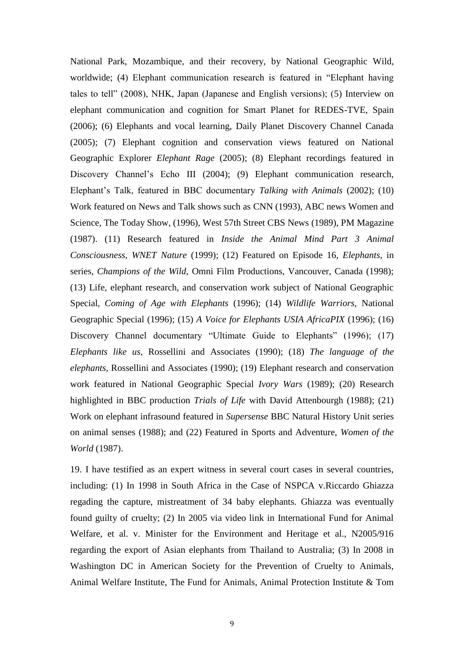National Park, Mozambique, and their recovery, by National Geographic Wild, worldwide; (4) Elephant communication research is featured in "Elephant having tales to tell" (2008), NHK, Japan (Japanese and English versions); (5) Interview on elephant communication and cognition for Smart Planet for REDES-TVE, Spain (2006); (6) Elephants and vocal learning, Daily Planet Discovery Channel Canada (2005); (7) Elephant cognition and conservation views featured on National Geographic Explorer *Elephant Rage* (2005); (8) Elephant recordings featured in Discovery Channel's Echo III (2004); (9) Elephant communication research, Elephant's Talk, featured in BBC documentary *Talking with Animals* (2002); (10) Work featured on News and Talk shows such as CNN (1993), ABC news Women and Science, The Today Show, (1996), West 57th Street CBS News (1989), PM Magazine (1987). (11) Research featured in *Inside the Animal Mind Part 3 Animal Consciousness, WNET Nature* (1999); (12) Featured on Episode 16, *Elephants*, in series, *Champions of the Wild*, Omni Film Productions, Vancouver, Canada (1998); (13) Life, elephant research, and conservation work subject of National Geographic Special, *Coming of Age with Elephants* (1996); (14) *Wildlife Warriors,* National Geographic Special (1996); (15) *A Voice for Elephants USIA AfricaPIX* (1996); (16) Discovery Channel documentary "Ultimate Guide to Elephants" (1996); (17) *Elephants like us*, Rossellini and Associates (1990); (18) *The language of the elephants*, Rossellini and Associates (1990); (19) Elephant research and conservation work featured in National Geographic Special *Ivory Wars* (1989); (20) Research highlighted in BBC production *Trials of Life* with David Attenbourgh (1988); (21) Work on elephant infrasound featured in *Supersense* BBC Natural History Unit series on animal senses (1988); and (22) Featured in Sports and Adventure, *Women of the World* (1987).

19. I have testified as an expert witness in several court cases in several countries, including: (1) In 1998 in South Africa in the Case of NSPCA v.Riccardo Ghiazza regading the capture, mistreatment of 34 baby elephants. Ghiazza was eventually found guilty of cruelty; (2) In 2005 via video link in International Fund for Animal Welfare, et al. v. Minister for the Environment and Heritage et al., N2005/916 regarding the export of Asian elephants from Thailand to Australia; (3) In 2008 in Washington DC in American Society for the Prevention of Cruelty to Animals, Animal Welfare Institute, The Fund for Animals, Animal Protection Institute & Tom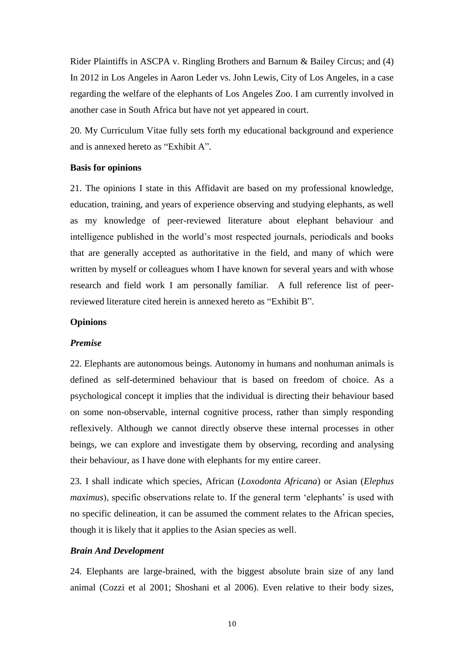Rider Plaintiffs in ASCPA v. Ringling Brothers and Barnum & Bailey Circus; and (4) In 2012 in Los Angeles in Aaron Leder vs. John Lewis, City of Los Angeles, in a case regarding the welfare of the elephants of Los Angeles Zoo. I am currently involved in another case in South Africa but have not yet appeared in court.

20. My Curriculum Vitae fully sets forth my educational background and experience and is annexed hereto as "Exhibit A".

#### **Basis for opinions**

21. The opinions I state in this Affidavit are based on my professional knowledge, education, training, and years of experience observing and studying elephants, as well as my knowledge of peer-reviewed literature about elephant behaviour and intelligence published in the world's most respected journals, periodicals and books that are generally accepted as authoritative in the field, and many of which were written by myself or colleagues whom I have known for several years and with whose research and field work I am personally familiar. A full reference list of peerreviewed literature cited herein is annexed hereto as "Exhibit B".

### **Opinions**

#### *Premise*

22. Elephants are autonomous beings. Autonomy in humans and nonhuman animals is defined as self-determined behaviour that is based on freedom of choice. As a psychological concept it implies that the individual is directing their behaviour based on some non-observable, internal cognitive process, rather than simply responding reflexively. Although we cannot directly observe these internal processes in other beings, we can explore and investigate them by observing, recording and analysing their behaviour, as I have done with elephants for my entire career.

23. I shall indicate which species, African (*Loxodonta Africana*) or Asian (*Elephus maximus*), specific observations relate to. If the general term 'elephants' is used with no specific delineation, it can be assumed the comment relates to the African species, though it is likely that it applies to the Asian species as well.

#### *Brain And Development*

24. Elephants are large-brained, with the biggest absolute brain size of any land animal (Cozzi et al 2001; Shoshani et al 2006). Even relative to their body sizes,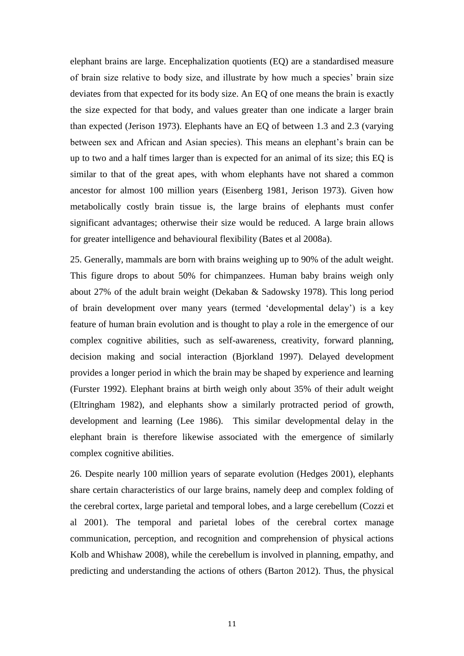elephant brains are large. Encephalization quotients (EQ) are a standardised measure of brain size relative to body size, and illustrate by how much a species' brain size deviates from that expected for its body size. An EQ of one means the brain is exactly the size expected for that body, and values greater than one indicate a larger brain than expected (Jerison 1973). Elephants have an EQ of between 1.3 and 2.3 (varying between sex and African and Asian species). This means an elephant's brain can be up to two and a half times larger than is expected for an animal of its size; this EQ is similar to that of the great apes, with whom elephants have not shared a common ancestor for almost 100 million years (Eisenberg 1981, Jerison 1973). Given how metabolically costly brain tissue is, the large brains of elephants must confer significant advantages; otherwise their size would be reduced. A large brain allows for greater intelligence and behavioural flexibility (Bates et al 2008a).

25. Generally, mammals are born with brains weighing up to 90% of the adult weight. This figure drops to about 50% for chimpanzees. Human baby brains weigh only about 27% of the adult brain weight (Dekaban & Sadowsky 1978). This long period of brain development over many years (termed 'developmental delay') is a key feature of human brain evolution and is thought to play a role in the emergence of our complex cognitive abilities, such as self-awareness, creativity, forward planning, decision making and social interaction (Bjorkland 1997). Delayed development provides a longer period in which the brain may be shaped by experience and learning (Furster 1992). Elephant brains at birth weigh only about 35% of their adult weight (Eltringham 1982), and elephants show a similarly protracted period of growth, development and learning (Lee 1986). This similar developmental delay in the elephant brain is therefore likewise associated with the emergence of similarly complex cognitive abilities.

26. Despite nearly 100 million years of separate evolution (Hedges 2001), elephants share certain characteristics of our large brains, namely deep and complex folding of the cerebral cortex, large parietal and temporal lobes, and a large cerebellum (Cozzi et al 2001). The temporal and parietal lobes of the cerebral cortex manage communication, perception, and recognition and comprehension of physical actions Kolb and Whishaw 2008), while the cerebellum is involved in planning, empathy, and predicting and understanding the actions of others (Barton 2012). Thus, the physical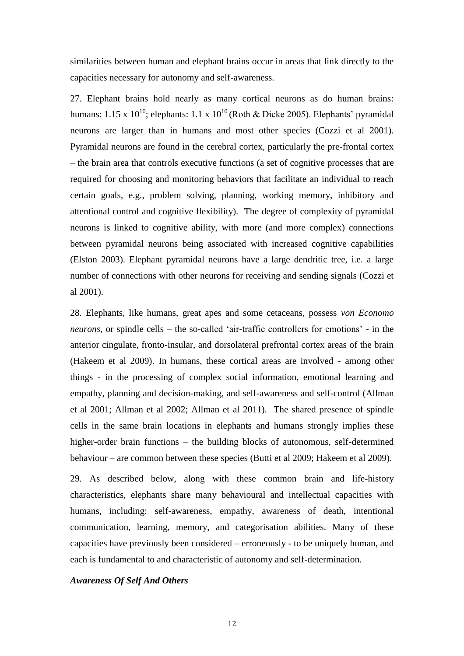similarities between human and elephant brains occur in areas that link directly to the capacities necessary for autonomy and self-awareness.

27. Elephant brains hold nearly as many cortical neurons as do human brains: humans: 1.15 x  $10^{10}$ ; elephants: 1.1 x  $10^{10}$  (Roth & Dicke 2005). Elephants' pyramidal neurons are larger than in humans and most other species (Cozzi et al 2001). Pyramidal neurons are found in the cerebral cortex, particularly the pre-frontal cortex – the brain area that controls executive functions (a set of cognitive processes that are required for choosing and monitoring behaviors that facilitate an individual to reach certain goals, e.g., problem solving, planning, working memory, inhibitory and attentional control and cognitive flexibility). The degree of complexity of pyramidal neurons is linked to cognitive ability, with more (and more complex) connections between pyramidal neurons being associated with increased cognitive capabilities (Elston 2003). Elephant pyramidal neurons have a large dendritic tree, i.e. a large number of connections with other neurons for receiving and sending signals (Cozzi et al 2001).

28. Elephants, like humans, great apes and some cetaceans, possess *von Economo neurons*, or spindle cells – the so-called 'air-traffic controllers for emotions' - in the anterior cingulate, fronto-insular, and dorsolateral prefrontal cortex areas of the brain (Hakeem et al 2009). In humans, these cortical areas are involved - among other things - in the processing of complex social information, emotional learning and empathy, planning and decision-making, and self-awareness and self-control (Allman et al 2001; Allman et al 2002; Allman et al 2011). The shared presence of spindle cells in the same brain locations in elephants and humans strongly implies these higher-order brain functions – the building blocks of autonomous, self-determined behaviour – are common between these species (Butti et al 2009; Hakeem et al 2009).

29. As described below, along with these common brain and life-history characteristics, elephants share many behavioural and intellectual capacities with humans, including: self-awareness, empathy, awareness of death, intentional communication, learning, memory, and categorisation abilities. Many of these capacities have previously been considered – erroneously - to be uniquely human, and each is fundamental to and characteristic of autonomy and self-determination.

#### *Awareness Of Self And Others*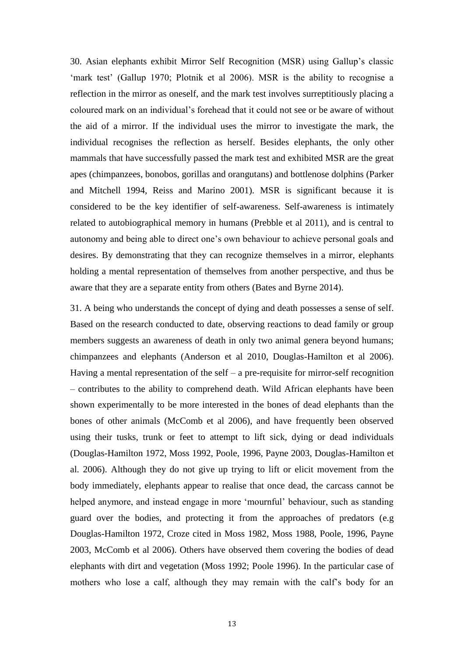30. Asian elephants exhibit Mirror Self Recognition (MSR) using Gallup's classic 'mark test' (Gallup 1970; Plotnik et al 2006). MSR is the ability to recognise a reflection in the mirror as oneself, and the mark test involves surreptitiously placing a coloured mark on an individual's forehead that it could not see or be aware of without the aid of a mirror. If the individual uses the mirror to investigate the mark, the individual recognises the reflection as herself. Besides elephants, the only other mammals that have successfully passed the mark test and exhibited MSR are the great apes (chimpanzees, bonobos, gorillas and orangutans) and bottlenose dolphins (Parker and Mitchell 1994, Reiss and Marino 2001). MSR is significant because it is considered to be the key identifier of self-awareness. Self-awareness is intimately related to autobiographical memory in humans (Prebble et al 2011), and is central to autonomy and being able to direct one's own behaviour to achieve personal goals and desires. By demonstrating that they can recognize themselves in a mirror, elephants holding a mental representation of themselves from another perspective, and thus be aware that they are a separate entity from others (Bates and Byrne 2014).

31. A being who understands the concept of dying and death possesses a sense of self. Based on the research conducted to date, observing reactions to dead family or group members suggests an awareness of death in only two animal genera beyond humans; chimpanzees and elephants (Anderson et al 2010, Douglas-Hamilton et al 2006). Having a mental representation of the self – a pre-requisite for mirror-self recognition – contributes to the ability to comprehend death. Wild African elephants have been shown experimentally to be more interested in the bones of dead elephants than the bones of other animals (McComb et al 2006), and have frequently been observed using their tusks, trunk or feet to attempt to lift sick, dying or dead individuals (Douglas-Hamilton 1972, Moss 1992, Poole, 1996, Payne 2003, Douglas-Hamilton et al. 2006). Although they do not give up trying to lift or elicit movement from the body immediately, elephants appear to realise that once dead, the carcass cannot be helped anymore, and instead engage in more 'mournful' behaviour, such as standing guard over the bodies, and protecting it from the approaches of predators (e.g Douglas-Hamilton 1972, Croze cited in Moss 1982, Moss 1988, Poole, 1996, Payne 2003, McComb et al 2006). Others have observed them covering the bodies of dead elephants with dirt and vegetation (Moss 1992; Poole 1996). In the particular case of mothers who lose a calf, although they may remain with the calf's body for an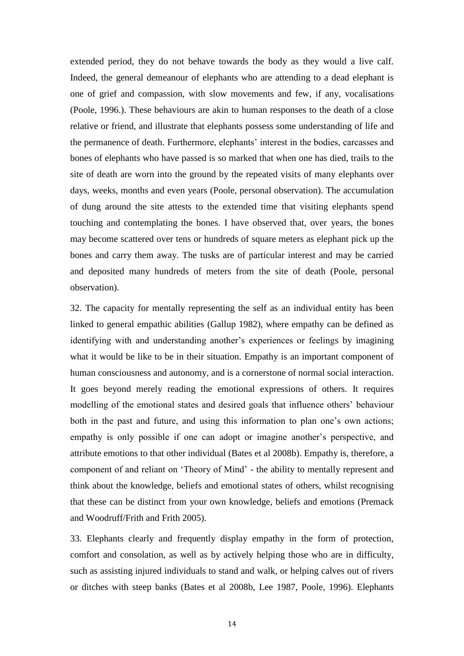extended period, they do not behave towards the body as they would a live calf. Indeed, the general demeanour of elephants who are attending to a dead elephant is one of grief and compassion, with slow movements and few, if any, vocalisations (Poole, 1996.). These behaviours are akin to human responses to the death of a close relative or friend, and illustrate that elephants possess some understanding of life and the permanence of death. Furthermore, elephants' interest in the bodies, carcasses and bones of elephants who have passed is so marked that when one has died, trails to the site of death are worn into the ground by the repeated visits of many elephants over days, weeks, months and even years (Poole, personal observation). The accumulation of dung around the site attests to the extended time that visiting elephants spend touching and contemplating the bones. I have observed that, over years, the bones may become scattered over tens or hundreds of square meters as elephant pick up the bones and carry them away. The tusks are of particular interest and may be carried and deposited many hundreds of meters from the site of death (Poole, personal observation).

32. The capacity for mentally representing the self as an individual entity has been linked to general empathic abilities (Gallup 1982), where empathy can be defined as identifying with and understanding another's experiences or feelings by imagining what it would be like to be in their situation. Empathy is an important component of human consciousness and autonomy, and is a cornerstone of normal social interaction. It goes beyond merely reading the emotional expressions of others. It requires modelling of the emotional states and desired goals that influence others' behaviour both in the past and future, and using this information to plan one's own actions; empathy is only possible if one can adopt or imagine another's perspective, and attribute emotions to that other individual (Bates et al 2008b). Empathy is, therefore, a component of and reliant on 'Theory of Mind' - the ability to mentally represent and think about the knowledge, beliefs and emotional states of others, whilst recognising that these can be distinct from your own knowledge, beliefs and emotions (Premack and Woodruff/Frith and Frith 2005).

33. Elephants clearly and frequently display empathy in the form of protection, comfort and consolation, as well as by actively helping those who are in difficulty, such as assisting injured individuals to stand and walk, or helping calves out of rivers or ditches with steep banks (Bates et al 2008b, Lee 1987, Poole, 1996). Elephants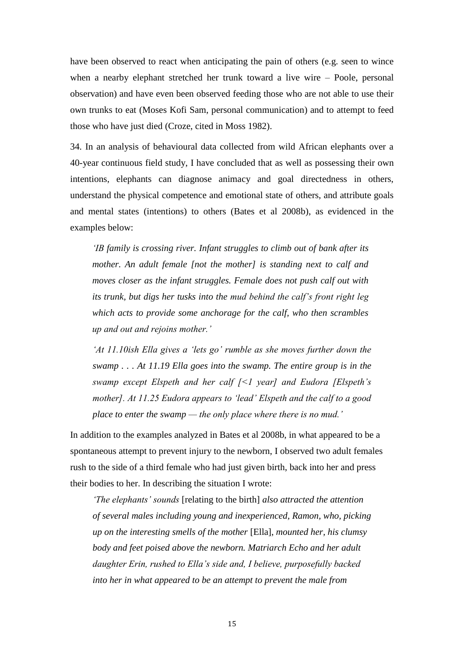have been observed to react when anticipating the pain of others (e.g. seen to wince when a nearby elephant stretched her trunk toward a live wire – Poole, personal observation) and have even been observed feeding those who are not able to use their own trunks to eat (Moses Kofi Sam, personal communication) and to attempt to feed those who have just died (Croze, cited in Moss 1982).

34. In an analysis of behavioural data collected from wild African elephants over a 40-year continuous field study, I have concluded that as well as possessing their own intentions, elephants can diagnose animacy and goal directedness in others, understand the physical competence and emotional state of others, and attribute goals and mental states (intentions) to others (Bates et al 2008b), as evidenced in the examples below:

*'IB family is crossing river. Infant struggles to climb out of bank after its mother. An adult female [not the mother] is standing next to calf and moves closer as the infant struggles. Female does not push calf out with its trunk, but digs her tusks into the mud behind the calf's front right leg which acts to provide some anchorage for the calf, who then scrambles up and out and rejoins mother.'*

*'At 11.10ish Ella gives a 'lets go' rumble as she moves further down the swamp . . . At 11.19 Ella goes into the swamp. The entire group is in the swamp except Elspeth and her calf [<1 year] and Eudora [Elspeth's mother]. At 11.25 Eudora appears to 'lead' Elspeth and the calf to a good place to enter the swamp — the only place where there is no mud.'*

In addition to the examples analyzed in Bates et al 2008b, in what appeared to be a spontaneous attempt to prevent injury to the newborn, I observed two adult females rush to the side of a third female who had just given birth, back into her and press their bodies to her. In describing the situation I wrote:

*'The elephants' sounds* [relating to the birth] *also attracted the attention of several males including young and inexperienced, Ramon, who, picking up on the interesting smells of the mother* [Ella], *mounted her, his clumsy body and feet poised above the newborn. Matriarch Echo and her adult daughter Erin, rushed to Ella's side and, I believe, purposefully backed into her in what appeared to be an attempt to prevent the male from*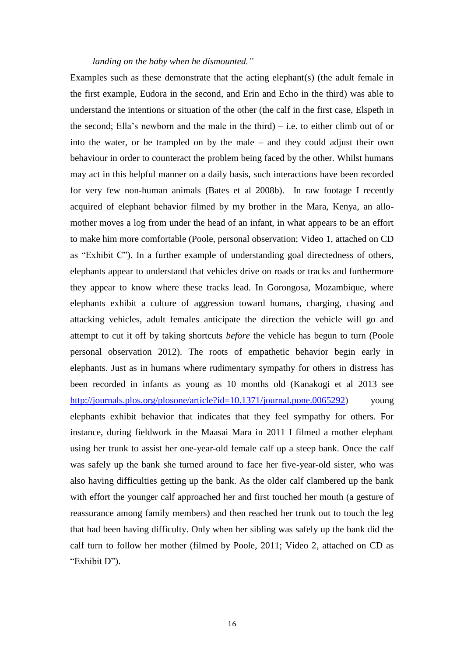#### *landing on the baby when he dismounted."*

Examples such as these demonstrate that the acting elephant(s) (the adult female in the first example, Eudora in the second, and Erin and Echo in the third) was able to understand the intentions or situation of the other (the calf in the first case, Elspeth in the second; Ella's newborn and the male in the third) – i.e. to either climb out of or into the water, or be trampled on by the male – and they could adjust their own behaviour in order to counteract the problem being faced by the other. Whilst humans may act in this helpful manner on a daily basis, such interactions have been recorded for very few non-human animals (Bates et al 2008b). In raw footage I recently acquired of elephant behavior filmed by my brother in the Mara, Kenya, an allomother moves a log from under the head of an infant, in what appears to be an effort to make him more comfortable (Poole, personal observation; Video 1, attached on CD as "Exhibit C"). In a further example of understanding goal directedness of others, elephants appear to understand that vehicles drive on roads or tracks and furthermore they appear to know where these tracks lead. In Gorongosa, Mozambique, where elephants exhibit a culture of aggression toward humans, charging, chasing and attacking vehicles, adult females anticipate the direction the vehicle will go and attempt to cut it off by taking shortcuts *before* the vehicle has begun to turn (Poole personal observation 2012). The roots of empathetic behavior begin early in elephants. Just as in humans where rudimentary sympathy for others in distress has been recorded in infants as young as 10 months old (Kanakogi et al 2013 see [http://journals.plos.org/plosone/article?id=10.1371/journal.pone.0065292\)](http://journals.plos.org/plosone/article?id=10.1371/journal.pone.0065292) young elephants exhibit behavior that indicates that they feel sympathy for others. For instance, during fieldwork in the Maasai Mara in 2011 I filmed a mother elephant using her trunk to assist her one-year-old female calf up a steep bank. Once the calf was safely up the bank she turned around to face her five-year-old sister, who was also having difficulties getting up the bank. As the older calf clambered up the bank with effort the younger calf approached her and first touched her mouth (a gesture of reassurance among family members) and then reached her trunk out to touch the leg that had been having difficulty. Only when her sibling was safely up the bank did the calf turn to follow her mother (filmed by Poole, 2011; Video 2, attached on CD as "Exhibit D").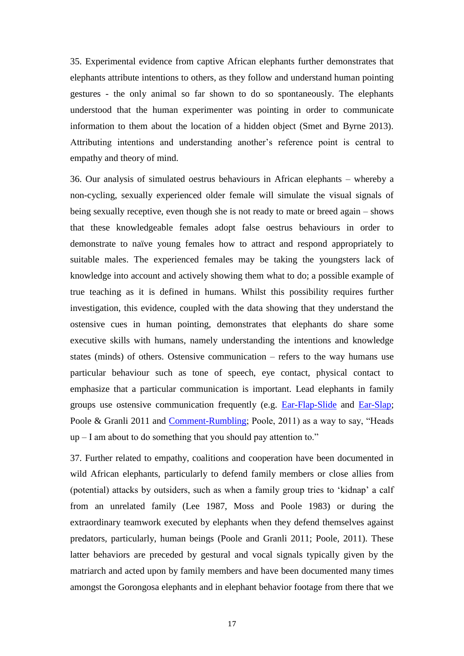35. Experimental evidence from captive African elephants further demonstrates that elephants attribute intentions to others, as they follow and understand human pointing gestures - the only animal so far shown to do so spontaneously. The elephants understood that the human experimenter was pointing in order to communicate information to them about the location of a hidden object (Smet and Byrne 2013). Attributing intentions and understanding another's reference point is central to empathy and theory of mind.

36. Our analysis of simulated oestrus behaviours in African elephants – whereby a non-cycling, sexually experienced older female will simulate the visual signals of being sexually receptive, even though she is not ready to mate or breed again – shows that these knowledgeable females adopt false oestrus behaviours in order to demonstrate to naïve young females how to attract and respond appropriately to suitable males. The experienced females may be taking the youngsters lack of knowledge into account and actively showing them what to do; a possible example of true teaching as it is defined in humans. Whilst this possibility requires further investigation, this evidence, coupled with the data showing that they understand the ostensive cues in human pointing, demonstrates that elephants do share some executive skills with humans, namely understanding the intentions and knowledge states (minds) of others. Ostensive communication – refers to the way humans use particular behaviour such as tone of speech, eye contact, physical contact to emphasize that a particular communication is important. Lead elephants in family groups use ostensive communication frequently (e.g. [Ear-Flap-Slide](http://www.elephantvoices.org/multimedia-resources/elephant-gestures-database/411-social-integration/movement-initiation-leadership/1789-ear-flap-slide.html?layout=gesture) and [Ear-Slap;](http://www.elephantvoices.org/multimedia-resources/elephant-gestures-database/411-social-integration/movement-initiation-leadership/1787-ear-slap.html?layout=gesture) Poole & Granli 2011 and [Comment-Rumbling;](http://www.elephantvoices.org/multimedia-resources/elephant-calls-database-contexts/235-group-defense/alert/comment-rumble.html?layout=callscontext) Poole, 2011) as a way to say, "Heads up – I am about to do something that you should pay attention to."

37. Further related to empathy, coalitions and cooperation have been documented in wild African elephants, particularly to defend family members or close allies from (potential) attacks by outsiders, such as when a family group tries to 'kidnap' a calf from an unrelated family (Lee 1987, Moss and Poole 1983) or during the extraordinary teamwork executed by elephants when they defend themselves against predators, particularly, human beings (Poole and Granli 2011; Poole, 2011). These latter behaviors are preceded by gestural and vocal signals typically given by the matriarch and acted upon by family members and have been documented many times amongst the Gorongosa elephants and in elephant behavior footage from there that we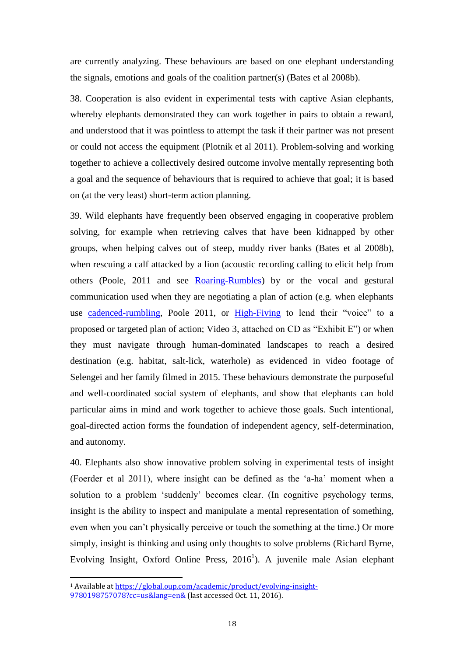are currently analyzing. These behaviours are based on one elephant understanding the signals, emotions and goals of the coalition partner(s) (Bates et al 2008b).

38. Cooperation is also evident in experimental tests with captive Asian elephants, whereby elephants demonstrated they can work together in pairs to obtain a reward, and understood that it was pointless to attempt the task if their partner was not present or could not access the equipment (Plotnik et al 2011)*.* Problem-solving and working together to achieve a collectively desired outcome involve mentally representing both a goal and the sequence of behaviours that is required to achieve that goal; it is based on (at the very least) short-term action planning.

39. Wild elephants have frequently been observed engaging in cooperative problem solving, for example when retrieving calves that have been kidnapped by other groups, when helping calves out of steep, muddy river banks (Bates et al 2008b), when rescuing a calf attacked by a lion (acoustic recording calling to elicit help from others (Poole, 2011 and see [Roaring-Rumbles\)](http://www.elephantvoices.org/multimedia-resources/elephant-calls-database-contexts/236-group-defense/defensive-and-mobbing/roaring-rumbles.html?layout=callscontext) by or the vocal and gestural communication used when they are negotiating a plan of action (e.g. when elephants use [cadenced-rumbling,](http://www.elephantvoices.org/multimedia-resources/elephant-calls-database-contexts/215-social-integration/logistical/cadenced-rumble.html?layout=callscontext) Poole 2011, or [High-Fiving](http://www.elephantvoices.org/multimedia-resources/elephant-gestures-database/406-aggressive/post-conflict-display/1830-high-fiving.html?layout=gesture) to lend their "voice" to a proposed or targeted plan of action; Video 3, attached on CD as "Exhibit E") or when they must navigate through human-dominated landscapes to reach a desired destination (e.g. habitat, salt-lick, waterhole) as evidenced in video footage of Selengei and her family filmed in 2015. These behaviours demonstrate the purposeful and well-coordinated social system of elephants, and show that elephants can hold particular aims in mind and work together to achieve those goals. Such intentional, goal-directed action forms the foundation of independent agency, self-determination, and autonomy.

40. Elephants also show innovative problem solving in experimental tests of insight (Foerder et al 2011), where insight can be defined as the 'a-ha' moment when a solution to a problem 'suddenly' becomes clear. (In cognitive psychology terms, insight is the ability to inspect and manipulate a mental representation of something, even when you can't physically perceive or touch the something at the time.) Or more simply, insight is thinking and using only thoughts to solve problems (Richard Byrne, Evolving Insight, Oxford Online Press,  $2016<sup>1</sup>$ ). A juvenile male Asian elephant

 $\overline{\phantom{a}}$ 

<sup>1</sup> Available at [https://global.oup.com/academic/product/evolving-insight-](https://global.oup.com/academic/product/evolving-insight-9780198757078?cc=us&lang=en&)[9780198757078?cc=us&lang=en&](https://global.oup.com/academic/product/evolving-insight-9780198757078?cc=us&lang=en&) (last accessed Oct. 11, 2016).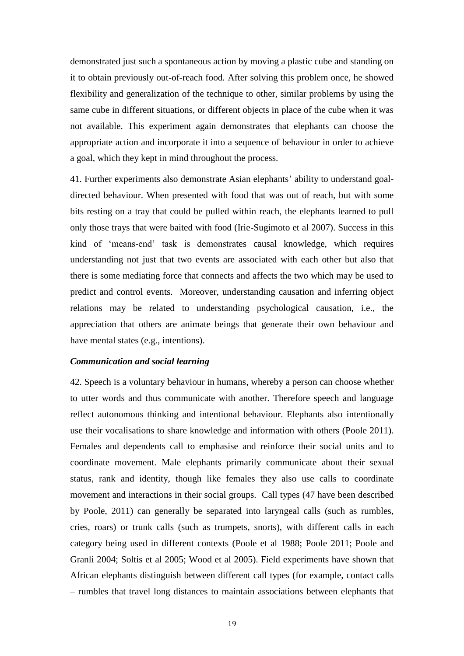demonstrated just such a spontaneous action by moving a plastic cube and standing on it to obtain previously out-of-reach food*.* After solving this problem once, he showed flexibility and generalization of the technique to other, similar problems by using the same cube in different situations, or different objects in place of the cube when it was not available. This experiment again demonstrates that elephants can choose the appropriate action and incorporate it into a sequence of behaviour in order to achieve a goal, which they kept in mind throughout the process.

41. Further experiments also demonstrate Asian elephants' ability to understand goaldirected behaviour. When presented with food that was out of reach, but with some bits resting on a tray that could be pulled within reach, the elephants learned to pull only those trays that were baited with food (Irie-Sugimoto et al 2007). Success in this kind of 'means-end' task is demonstrates causal knowledge, which requires understanding not just that two events are associated with each other but also that there is some mediating force that connects and affects the two which may be used to predict and control events. Moreover, understanding causation and inferring object relations may be related to understanding psychological causation, i.e., the appreciation that others are animate beings that generate their own behaviour and have mental states (e.g., intentions).

## *Communication and social learning*

42. Speech is a voluntary behaviour in humans, whereby a person can choose whether to utter words and thus communicate with another. Therefore speech and language reflect autonomous thinking and intentional behaviour. Elephants also intentionally use their vocalisations to share knowledge and information with others (Poole 2011). Females and dependents call to emphasise and reinforce their social units and to coordinate movement. Male elephants primarily communicate about their sexual status, rank and identity, though like females they also use calls to coordinate movement and interactions in their social groups. Call types (47 have been described by Poole, 2011) can generally be separated into laryngeal calls (such as rumbles, cries, roars) or trunk calls (such as trumpets, snorts), with different calls in each category being used in different contexts (Poole et al 1988; Poole 2011; Poole and Granli 2004; Soltis et al 2005; Wood et al 2005). Field experiments have shown that African elephants distinguish between different call types (for example, contact calls – rumbles that travel long distances to maintain associations between elephants that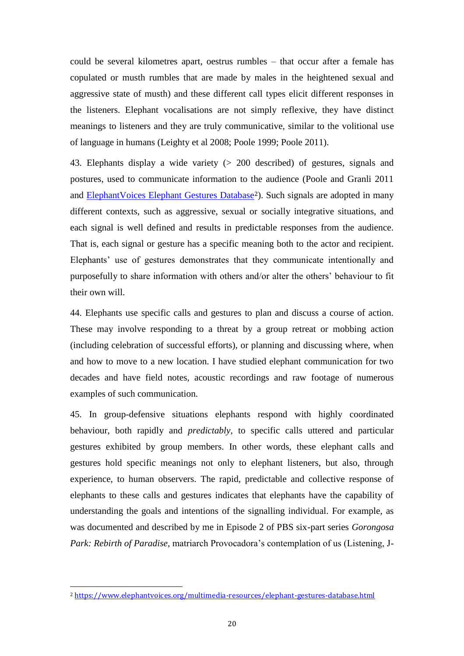could be several kilometres apart, oestrus rumbles – that occur after a female has copulated or musth rumbles that are made by males in the heightened sexual and aggressive state of musth) and these different call types elicit different responses in the listeners. Elephant vocalisations are not simply reflexive, they have distinct meanings to listeners and they are truly communicative, similar to the volitional use of language in humans (Leighty et al 2008; Poole 1999; Poole 2011).

43. Elephants display a wide variety (> 200 described) of gestures, signals and postures, used to communicate information to the audience (Poole and Granli 2011 and [ElephantVoices Elephant Gestures Database](http://www.elephantvoices.org/multimedia-resources/elephant-gestures-database.html)<sup>2</sup>). Such signals are adopted in many different contexts, such as aggressive, sexual or socially integrative situations, and each signal is well defined and results in predictable responses from the audience. That is, each signal or gesture has a specific meaning both to the actor and recipient. Elephants' use of gestures demonstrates that they communicate intentionally and purposefully to share information with others and/or alter the others' behaviour to fit their own will.

44. Elephants use specific calls and gestures to plan and discuss a course of action. These may involve responding to a threat by a group retreat or mobbing action (including celebration of successful efforts), or planning and discussing where, when and how to move to a new location. I have studied elephant communication for two decades and have field notes, acoustic recordings and raw footage of numerous examples of such communication.

45. In group-defensive situations elephants respond with highly coordinated behaviour, both rapidly and *predictably,* to specific calls uttered and particular gestures exhibited by group members. In other words, these elephant calls and gestures hold specific meanings not only to elephant listeners, but also, through experience, to human observers. The rapid, predictable and collective response of elephants to these calls and gestures indicates that elephants have the capability of understanding the goals and intentions of the signalling individual. For example, as was documented and described by me in Episode 2 of PBS six-part series *Gorongosa Park: Rebirth of Paradise,* matriarch Provocadora's contemplation of us (Listening, J-

 $\overline{\phantom{a}}$ 

<sup>2</sup> <https://www.elephantvoices.org/multimedia-resources/elephant-gestures-database.html>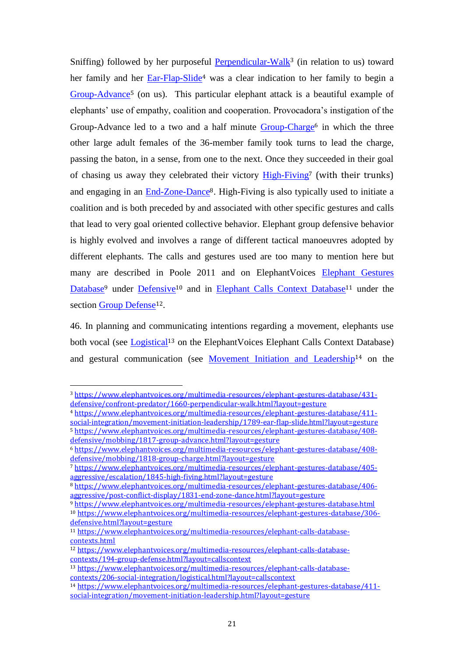Sniffing) followed by her purposeful **Perpendicular-Walk**<sup>3</sup> (in relation to us) toward her family and her [Ear-Flap-Slide](http://www.elephantvoices.org/multimedia-resources/elephant-gestures-database/411-social-integration/movement-initiation-leadership/1789-ear-flap-slide.html?layout=gesture)<sup>4</sup> was a clear indication to her family to begin a [Group-Advance](http://www.elephantvoices.org/multimedia-resources/elephant-gestures-database/408-defensive/mobbing/1817-group-advance.html?layout=gesture)<sup>5</sup> (on us). This particular elephant attack is a beautiful example of elephants' use of empathy, coalition and cooperation. Provocadora's instigation of the Group-Advance led to a two and a half minute [Group-Charge](http://www.elephantvoices.org/multimedia-resources/elephant-gestures-database/408-defensive/mobbing/1818-group-charge.html?layout=gesture)<sup>6</sup> in which the three other large adult females of the 36-member family took turns to lead the charge, passing the baton, in a sense, from one to the next. Once they succeeded in their goal of chasing us away they celebrated their victory [High-Fiving](http://www.elephantvoices.org/multimedia-resources/elephant-gestures-database/405-aggressive/escalation/1845-high-fiving.html?layout=gesture)<sup>7</sup> (with their trunks) and engaging in an [End-Zone-Dance](http://www.elephantvoices.org/multimedia-resources/elephant-gestures-database/406-aggressive/post-conflict-display/1831-end-zone-dance.html?layout=gesture)8. High-Fiving is also typically used to initiate a coalition and is both preceded by and associated with other specific gestures and calls that lead to very goal oriented collective behavior. Elephant group defensive behavior is highly evolved and involves a range of different tactical manoeuvres adopted by different elephants. The calls and gestures used are too many to mention here but many are described in Poole 2011 and on ElephantVoices Elephant Gestures [Database](http://www.elephantvoices.org/multimedia-resources/elephant-gestures-database.html)<sup>9</sup> under [Defensive](http://www.elephantvoices.org/multimedia-resources/elephant-gestures-database/306-defensive.html?layout=gesture)<sup>10</sup> and in [Elephant Calls Context Database](http://www.elephantvoices.org/multimedia-resources/elephant-calls-database-contexts.html)<sup>11</sup> under the section [Group Defense](http://www.elephantvoices.org/multimedia-resources/elephant-calls-database-contexts/194-group-defense.html?layout=callscontext)<sup>12</sup>.

46. In planning and communicating intentions regarding a movement, elephants use both vocal (see [Logistical](http://www.elephantvoices.org/multimedia-resources/elephant-calls-database-contexts/206-social-integration/logistical.html?layout=callscontext)<sup>13</sup> on the ElephantVoices Elephant Calls Context Database) and gestural communication (see [Movement Initiation and Leadership](http://www.elephantvoices.org/multimedia-resources/elephant-gestures-database/411-social-integration/movement-initiation-leadership.html?layout=gesture)<sup>14</sup> on the

 $\overline{a}$ 

<sup>3</sup> [https://www.elephantvoices.org/multimedia-resources/elephant-gestures-database/431](https://www.elephantvoices.org/multimedia-resources/elephant-gestures-database/431-defensive/confront-predator/1660-perpendicular-walk.html?layout=gesture) [defensive/confront-predator/1660-perpendicular-walk.html?layout=gesture](https://www.elephantvoices.org/multimedia-resources/elephant-gestures-database/431-defensive/confront-predator/1660-perpendicular-walk.html?layout=gesture)

<sup>4</sup> [https://www.elephantvoices.org/multimedia-resources/elephant-gestures-database/411](https://www.elephantvoices.org/multimedia-resources/elephant-gestures-database/411-social-integration/movement-initiation-leadership/1789-ear-flap-slide.html?layout=gesture) [social-integration/movement-initiation-leadership/1789-ear-flap-slide.html?layout=gesture](https://www.elephantvoices.org/multimedia-resources/elephant-gestures-database/411-social-integration/movement-initiation-leadership/1789-ear-flap-slide.html?layout=gesture) <sup>5</sup> [https://www.elephantvoices.org/multimedia-resources/elephant-gestures-database/408-](https://www.elephantvoices.org/multimedia-resources/elephant-gestures-database/408-defensive/mobbing/1817-group-advance.html?layout=gesture)

[defensive/mobbing/1817-group-advance.html?layout=gesture](https://www.elephantvoices.org/multimedia-resources/elephant-gestures-database/408-defensive/mobbing/1817-group-advance.html?layout=gesture)

<sup>6</sup> [https://www.elephantvoices.org/multimedia-resources/elephant-gestures-database/408](https://www.elephantvoices.org/multimedia-resources/elephant-gestures-database/408-defensive/mobbing/1818-group-charge.html?layout=gesture) [defensive/mobbing/1818-group-charge.html?layout=gesture](https://www.elephantvoices.org/multimedia-resources/elephant-gestures-database/408-defensive/mobbing/1818-group-charge.html?layout=gesture)

<sup>7</sup> [https://www.elephantvoices.org/multimedia-resources/elephant-gestures-database/405](https://www.elephantvoices.org/multimedia-resources/elephant-gestures-database/405-aggressive/escalation/1845-high-fiving.html?layout=gesture) [aggressive/escalation/1845-high-fiving.html?layout=gesture](https://www.elephantvoices.org/multimedia-resources/elephant-gestures-database/405-aggressive/escalation/1845-high-fiving.html?layout=gesture)

<sup>8</sup> [https://www.elephantvoices.org/multimedia-resources/elephant-gestures-database/406](https://www.elephantvoices.org/multimedia-resources/elephant-gestures-database/406-aggressive/post-conflict-display/1831-end-zone-dance.html?layout=gesture) [aggressive/post-conflict-display/1831-end-zone-dance.html?layout=gesture](https://www.elephantvoices.org/multimedia-resources/elephant-gestures-database/406-aggressive/post-conflict-display/1831-end-zone-dance.html?layout=gesture)

<sup>9</sup> <https://www.elephantvoices.org/multimedia-resources/elephant-gestures-database.html>

<sup>10</sup> [https://www.elephantvoices.org/multimedia-resources/elephant-gestures-database/306](https://www.elephantvoices.org/multimedia-resources/elephant-gestures-database/306-defensive.html?layout=gesture) [defensive.html?layout=gesture](https://www.elephantvoices.org/multimedia-resources/elephant-gestures-database/306-defensive.html?layout=gesture)

<sup>11</sup> [https://www.elephantvoices.org/multimedia-resources/elephant-calls-database](https://www.elephantvoices.org/multimedia-resources/elephant-calls-database-contexts.html)[contexts.html](https://www.elephantvoices.org/multimedia-resources/elephant-calls-database-contexts.html)

<sup>12</sup> [https://www.elephantvoices.org/multimedia-resources/elephant-calls-database](https://www.elephantvoices.org/multimedia-resources/elephant-calls-database-contexts/194-group-defense.html?layout=callscontext)[contexts/194-group-defense.html?layout=callscontext](https://www.elephantvoices.org/multimedia-resources/elephant-calls-database-contexts/194-group-defense.html?layout=callscontext)

<sup>13</sup> [https://www.elephantvoices.org/multimedia-resources/elephant-calls-database](https://www.elephantvoices.org/multimedia-resources/elephant-calls-database-contexts/206-social-integration/logistical.html?layout=callscontext)[contexts/206-social-integration/logistical.html?layout=callscontext](https://www.elephantvoices.org/multimedia-resources/elephant-calls-database-contexts/206-social-integration/logistical.html?layout=callscontext)

<sup>14</sup> [https://www.elephantvoices.org/multimedia-resources/elephant-gestures-database/411](https://www.elephantvoices.org/multimedia-resources/elephant-gestures-database/411-social-integration/movement-initiation-leadership.html?layout=gesture) [social-integration/movement-initiation-leadership.html?layout=gesture](https://www.elephantvoices.org/multimedia-resources/elephant-gestures-database/411-social-integration/movement-initiation-leadership.html?layout=gesture)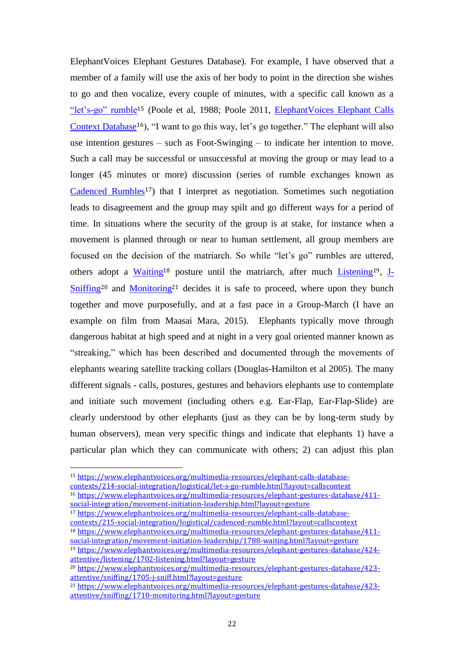ElephantVoices Elephant Gestures Database). For example, I have observed that a member of a family will use the axis of her body to point in the direction she wishes to go and then vocalize, every couple of minutes, with a specific call known as a ["let's-go" rumble](http://www.elephantvoices.org/multimedia-resources/elephant-calls-database-contexts/214-social-integration/logistical/let-s-go-rumble.html?layout=callscontext)<sup>15</sup> (Poole et al, 1988; Poole 2011, [ElephantVoices Elephant Calls](http://www.elephantvoices.org/multimedia-resources/elephant-calls-database-contexts.html)  [Context Database](http://www.elephantvoices.org/multimedia-resources/elephant-calls-database-contexts.html)<sup>16</sup>), "I want to go this way, let's go together." The elephant will also use intention gestures – such as Foot-Swinging – to indicate her intention to move. Such a call may be successful or unsuccessful at moving the group or may lead to a longer (45 minutes or more) discussion (series of rumble exchanges known as [Cadenced Rumbles](http://www.elephantvoices.org/multimedia-resources/elephant-calls-database-contexts/215-social-integration/logistical/cadenced-rumble.html?layout=callscontext)<sup>17</sup>) that I interpret as negotiation. Sometimes such negotiation leads to disagreement and the group may spilt and go different ways for a period of time. In situations where the security of the group is at stake, for instance when a movement is planned through or near to human settlement, all group members are focused on the decision of the matriarch. So while "let's go" rumbles are uttered, others adopt a [Waiting](http://www.elephantvoices.org/multimedia-resources/elephant-gestures-database/411-social-integration/movement-initiation-leadership/1788-waiting.html?layout=gesture)<sup>18</sup> posture until the matriarch, after much *[Listening](http://www.elephantvoices.org/multimedia-resources/elephant-gestures-database/424-attentive/listening/1702-listening.html?layout=gesture)*<sup>19</sup>, *J*- $Sniffing<sup>20</sup>$  $Sniffing<sup>20</sup>$  and [Monitoring](http://www.elephantvoices.org/multimedia-resources/elephant-gestures-database/423-attentive/sniffing/1710-monitoring.html?layout=gesture)<sup>21</sup> decides it is safe to proceed, where upon they bunch together and move purposefully, and at a fast pace in a Group-March (I have an example on film from Maasai Mara, 2015). Elephants typically move through dangerous habitat at high speed and at night in a very goal oriented manner known as "streaking," which has been described and documented through the movements of elephants wearing satellite tracking collars (Douglas-Hamilton et al 2005). The many different signals - calls, postures, gestures and behaviors elephants use to contemplate and initiate such movement (including others e.g. Ear-Flap, Ear-Flap-Slide) are clearly understood by other elephants (just as they can be by long-term study by human observers), mean very specific things and indicate that elephants 1) have a particular plan which they can communicate with others; 2) can adjust this plan

<sup>15</sup> [https://www.elephantvoices.org/multimedia-resources/elephant-calls-database](https://www.elephantvoices.org/multimedia-resources/elephant-calls-database-contexts/214-social-integration/logistical/let-s-go-rumble.html?layout=callscontext)[contexts/214-social-integration/logistical/let-s-go-rumble.html?layout=callscontext](https://www.elephantvoices.org/multimedia-resources/elephant-calls-database-contexts/214-social-integration/logistical/let-s-go-rumble.html?layout=callscontext)

 $\overline{a}$ 

<sup>16</sup> [https://www.elephantvoices.org/multimedia-resources/elephant-gestures-database/411](https://www.elephantvoices.org/multimedia-resources/elephant-gestures-database/411-social-integration/movement-initiation-leadership.html?layout=gesture) [social-integration/movement-initiation-leadership.html?layout=gesture](https://www.elephantvoices.org/multimedia-resources/elephant-gestures-database/411-social-integration/movement-initiation-leadership.html?layout=gesture)

<sup>17</sup> [https://www.elephantvoices.org/multimedia-resources/elephant-calls-database](https://www.elephantvoices.org/multimedia-resources/elephant-calls-database-contexts/215-social-integration/logistical/cadenced-rumble.html?layout=callscontext)[contexts/215-social-integration/logistical/cadenced-rumble.html?layout=callscontext](https://www.elephantvoices.org/multimedia-resources/elephant-calls-database-contexts/215-social-integration/logistical/cadenced-rumble.html?layout=callscontext)

<sup>18</sup> [https://www.elephantvoices.org/multimedia-resources/elephant-gestures-database/411](https://www.elephantvoices.org/multimedia-resources/elephant-gestures-database/411-social-integration/movement-initiation-leadership/1788-waiting.html?layout=gesture) [social-integration/movement-initiation-leadership/1788-waiting.html?layout=gesture](https://www.elephantvoices.org/multimedia-resources/elephant-gestures-database/411-social-integration/movement-initiation-leadership/1788-waiting.html?layout=gesture)

<sup>19</sup> [https://www.elephantvoices.org/multimedia-resources/elephant-gestures-database/424](https://www.elephantvoices.org/multimedia-resources/elephant-gestures-database/424-attentive/listening/1702-listening.html?layout=gesture) [attentive/listening/1702-listening.html?layout=gesture](https://www.elephantvoices.org/multimedia-resources/elephant-gestures-database/424-attentive/listening/1702-listening.html?layout=gesture)

<sup>20</sup> [https://www.elephantvoices.org/multimedia-resources/elephant-gestures-database/423](https://www.elephantvoices.org/multimedia-resources/elephant-gestures-database/423-attentive/sniffing/1705-j-sniff.html?layout=gesture) [attentive/sniffing/1705-j-sniff.html?layout=gesture](https://www.elephantvoices.org/multimedia-resources/elephant-gestures-database/423-attentive/sniffing/1705-j-sniff.html?layout=gesture)

<sup>21</sup> [https://www.elephantvoices.org/multimedia-resources/elephant-gestures-database/423](https://www.elephantvoices.org/multimedia-resources/elephant-gestures-database/423-attentive/sniffing/1710-monitoring.html?layout=gesture) [attentive/sniffing/1710-monitoring.html?layout=gesture](https://www.elephantvoices.org/multimedia-resources/elephant-gestures-database/423-attentive/sniffing/1710-monitoring.html?layout=gesture)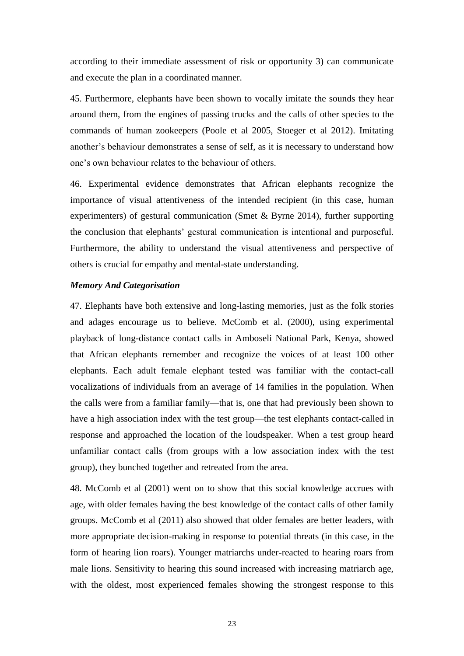according to their immediate assessment of risk or opportunity 3) can communicate and execute the plan in a coordinated manner.

45. Furthermore, elephants have been shown to vocally imitate the sounds they hear around them, from the engines of passing trucks and the calls of other species to the commands of human zookeepers (Poole et al 2005, Stoeger et al 2012). Imitating another's behaviour demonstrates a sense of self, as it is necessary to understand how one's own behaviour relates to the behaviour of others.

46. Experimental evidence demonstrates that African elephants recognize the importance of visual attentiveness of the intended recipient (in this case, human experimenters) of gestural communication (Smet & Byrne 2014), further supporting the conclusion that elephants' gestural communication is intentional and purposeful. Furthermore, the ability to understand the visual attentiveness and perspective of others is crucial for empathy and mental-state understanding.

### *Memory And Categorisation*

47. Elephants have both extensive and long-lasting memories, just as the folk stories and adages encourage us to believe. McComb et al. (2000), using experimental playback of long-distance contact calls in Amboseli National Park, Kenya, showed that African elephants remember and recognize the voices of at least 100 other elephants. Each adult female elephant tested was familiar with the contact-call vocalizations of individuals from an average of 14 families in the population. When the calls were from a familiar family—that is, one that had previously been shown to have a high association index with the test group—the test elephants contact-called in response and approached the location of the loudspeaker. When a test group heard unfamiliar contact calls (from groups with a low association index with the test group), they bunched together and retreated from the area.

48. McComb et al (2001) went on to show that this social knowledge accrues with age, with older females having the best knowledge of the contact calls of other family groups. McComb et al (2011) also showed that older females are better leaders, with more appropriate decision-making in response to potential threats (in this case, in the form of hearing lion roars). Younger matriarchs under-reacted to hearing roars from male lions. Sensitivity to hearing this sound increased with increasing matriarch age, with the oldest, most experienced females showing the strongest response to this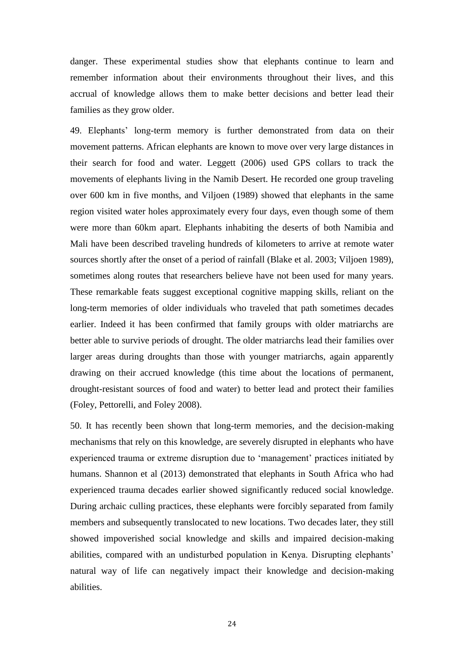danger. These experimental studies show that elephants continue to learn and remember information about their environments throughout their lives, and this accrual of knowledge allows them to make better decisions and better lead their families as they grow older.

49. Elephants' long-term memory is further demonstrated from data on their movement patterns. African elephants are known to move over very large distances in their search for food and water. Leggett (2006) used GPS collars to track the movements of elephants living in the Namib Desert. He recorded one group traveling over 600 km in five months, and Viljoen (1989) showed that elephants in the same region visited water holes approximately every four days, even though some of them were more than 60km apart. Elephants inhabiting the deserts of both Namibia and Mali have been described traveling hundreds of kilometers to arrive at remote water sources shortly after the onset of a period of rainfall (Blake et al. 2003; Viljoen 1989), sometimes along routes that researchers believe have not been used for many years. These remarkable feats suggest exceptional cognitive mapping skills, reliant on the long-term memories of older individuals who traveled that path sometimes decades earlier. Indeed it has been confirmed that family groups with older matriarchs are better able to survive periods of drought. The older matriarchs lead their families over larger areas during droughts than those with younger matriarchs, again apparently drawing on their accrued knowledge (this time about the locations of permanent, drought-resistant sources of food and water) to better lead and protect their families (Foley, Pettorelli, and Foley 2008).

50. It has recently been shown that long-term memories, and the decision-making mechanisms that rely on this knowledge, are severely disrupted in elephants who have experienced trauma or extreme disruption due to 'management' practices initiated by humans. Shannon et al (2013) demonstrated that elephants in South Africa who had experienced trauma decades earlier showed significantly reduced social knowledge. During archaic culling practices, these elephants were forcibly separated from family members and subsequently translocated to new locations. Two decades later, they still showed impoverished social knowledge and skills and impaired decision-making abilities, compared with an undisturbed population in Kenya. Disrupting elephants' natural way of life can negatively impact their knowledge and decision-making abilities.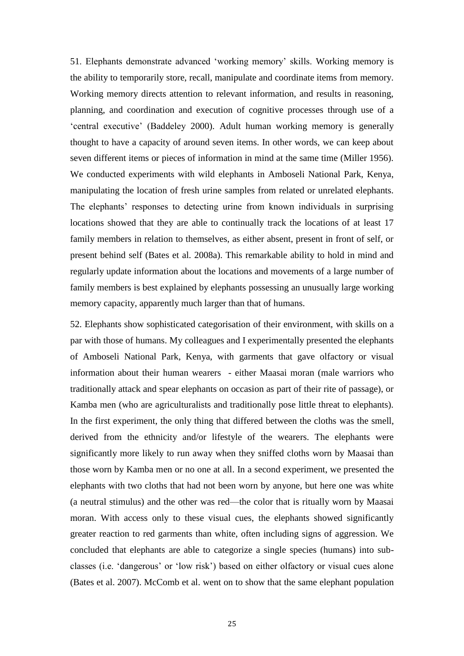51. Elephants demonstrate advanced 'working memory' skills. Working memory is the ability to temporarily store, recall, manipulate and coordinate items from memory. Working memory directs attention to relevant information, and results in reasoning, planning, and coordination and execution of cognitive processes through use of a 'central executive' (Baddeley 2000). Adult human working memory is generally thought to have a capacity of around seven items. In other words, we can keep about seven different items or pieces of information in mind at the same time (Miller 1956). We conducted experiments with wild elephants in Amboseli National Park, Kenya, manipulating the location of fresh urine samples from related or unrelated elephants. The elephants' responses to detecting urine from known individuals in surprising locations showed that they are able to continually track the locations of at least 17 family members in relation to themselves, as either absent, present in front of self, or present behind self (Bates et al. 2008a). This remarkable ability to hold in mind and regularly update information about the locations and movements of a large number of family members is best explained by elephants possessing an unusually large working memory capacity, apparently much larger than that of humans.

52. Elephants show sophisticated categorisation of their environment, with skills on a par with those of humans. My colleagues and I experimentally presented the elephants of Amboseli National Park, Kenya, with garments that gave olfactory or visual information about their human wearers - either Maasai moran (male warriors who traditionally attack and spear elephants on occasion as part of their rite of passage), or Kamba men (who are agriculturalists and traditionally pose little threat to elephants). In the first experiment, the only thing that differed between the cloths was the smell, derived from the ethnicity and/or lifestyle of the wearers. The elephants were significantly more likely to run away when they sniffed cloths worn by Maasai than those worn by Kamba men or no one at all. In a second experiment, we presented the elephants with two cloths that had not been worn by anyone, but here one was white (a neutral stimulus) and the other was red—the color that is ritually worn by Maasai moran. With access only to these visual cues, the elephants showed significantly greater reaction to red garments than white, often including signs of aggression. We concluded that elephants are able to categorize a single species (humans) into subclasses (i.e. 'dangerous' or 'low risk') based on either olfactory or visual cues alone (Bates et al. 2007). McComb et al. went on to show that the same elephant population